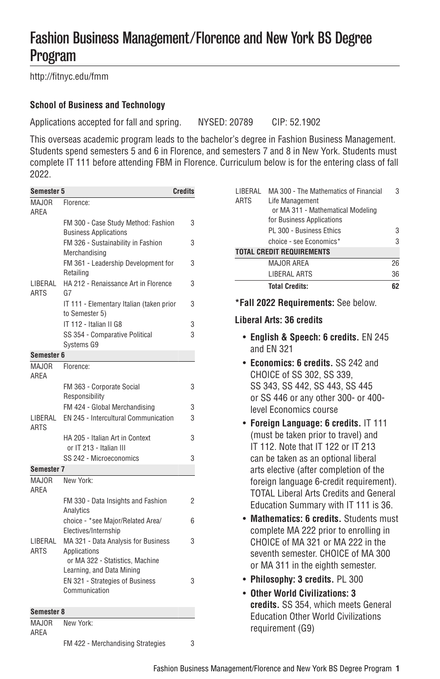# Fashion Business Management/Florence and New York BS Degree Program

[http://fitnyc.edu/fmm](http://fitnyc.edu/fmm/)

## **School of Business and Technology**

Applications accepted for fall and spring. NYSED: 20789 CIP: 52.1902

This overseas academic program leads to the bachelor's degree in Fashion Business Management. Students spend semesters 5 and 6 in Florence, and semesters 7 and 8 in New York. Students must complete [IT 111](https://catalog.fitnyc.edu/search/?P=IT%20111) before attending FBM in Florence. Curriculum below is for the entering class of fall 2022.

| Semester 5             |                                                                     | <b>Credits</b> |  |  |
|------------------------|---------------------------------------------------------------------|----------------|--|--|
| MAJOR                  | Florence:                                                           |                |  |  |
| AREA                   |                                                                     |                |  |  |
|                        | FM 300 - Case Study Method: Fashion<br><b>Business Applications</b> | 3              |  |  |
|                        | FM 326 - Sustainability in Fashion<br>Merchandising                 | 3              |  |  |
|                        | FM 361 - Leadership Development for<br>Retailing                    | 3              |  |  |
| LIBERAL<br><b>ARTS</b> | HA 212 - Renaissance Art in Florence<br>G7                          | 3              |  |  |
|                        | IT 111 - Elementary Italian (taken prior<br>to Semester 5)          | 3              |  |  |
|                        | IT 112 - Italian II G8                                              | 3              |  |  |
|                        | SS 354 - Comparative Political                                      | 3              |  |  |
|                        | Systems G9                                                          |                |  |  |
| Semester 6             |                                                                     |                |  |  |
| <b>MAJOR</b><br>AREA   | Florence:                                                           |                |  |  |
|                        | FM 363 - Corporate Social                                           | 3              |  |  |
|                        | Responsibility                                                      |                |  |  |
|                        | FM 424 - Global Merchandising                                       | 3              |  |  |
| LIBERAL<br>ARTS        | EN 245 - Intercultural Communication                                | 3              |  |  |
|                        | HA 205 - Italian Art in Context                                     | 3              |  |  |
|                        | or IT 213 - Italian III                                             |                |  |  |
|                        | SS 242 - Microeconomics                                             | 3              |  |  |
| Semester 7             |                                                                     |                |  |  |
| MAJOR<br>ARFA          | New York:                                                           |                |  |  |
|                        | FM 330 - Data Insights and Fashion<br>Analytics                     | 2              |  |  |
|                        | choice - *see Major/Related Area/<br>Electives/Internship           | 6              |  |  |
| LIBERAL                | MA 321 - Data Analysis for Business                                 | 3              |  |  |
| <b>ARTS</b>            | Applications<br>or MA 322 - Statistics, Machine                     |                |  |  |
|                        | Learning, and Data Mining                                           |                |  |  |
|                        | EN 321 - Strategies of Business                                     | 3              |  |  |
|                        | Communication                                                       |                |  |  |
| Semester 8             |                                                                     |                |  |  |
| <b>MAJOR</b>           | New York:                                                           |                |  |  |
| AREA                   |                                                                     |                |  |  |

FM 422 - Merchandising Strategies 3

| LIBERAL     | MA 300 - The Mathematics of Financial | 3  |
|-------------|---------------------------------------|----|
| <b>ARTS</b> | Life Management                       |    |
|             | or MA 311 - Mathematical Modeling     |    |
|             | for Business Applications             |    |
|             | PL 300 - Business Ethics              | 3  |
|             | choice - see Economics*               | 3  |
|             | <b>TOTAL CREDIT REQUIREMENTS</b>      |    |
|             | MAJOR AREA                            | 26 |
|             | <b>LIBERAL ARTS</b>                   | 36 |
|             | <b>Total Credits:</b>                 | 62 |
|             |                                       |    |

**\*Fall 2022 Requirements:** See below.

#### **Liberal Arts: 36 credits**

- **English & Speech: 6 credits.** EN 245 and EN 321
- **Economics: 6 credits.** SS 242 and CHOICE of SS 302, SS 339, SS 343, SS 442, SS 443, SS 445 or SS 446 or any other 300- or 400 level Economics course
- **Foreign Language: 6 credits.** IT 111 (must be taken prior to travel) and IT 112. Note that IT 122 or IT 213 can be taken as an optional liberal arts elective (after completion of the foreign language 6-credit requirement). TOTAL Liberal Arts Credits and General Education Summary with IT 111 is 36.
- **Mathematics: 6 credits.** Students must complete MA 222 prior to enrolling in CHOICE of MA 321 or MA 222 in the seventh semester. CHOICE of MA 300 or MA 311 in the eighth semester.
- **Philosophy: 3 credits.** PL 300
- **Other World Civilizations: 3 credits.** SS 354, which meets General Education Other World Civilizations requirement (G9)